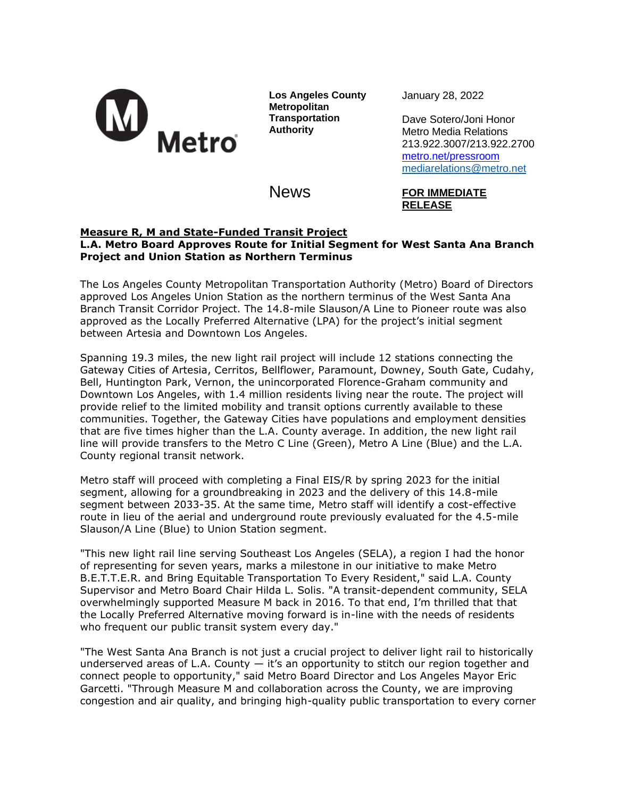

**Los Angeles County Metropolitan Transportation Authority**

January 28, 2022

Dave Sotero/Joni Honor Metro Media Relations 213.922.3007/213.922.2700 [metro.net/pressroom](https://www.metro.net/about/media-relations/) [mediarelations@metro.net](mailto:mediarelations@metro.net)

**News** 

## **FOR IMMEDIATE RELEASE**

## **Measure R, M and State-Funded Transit Project L.A. Metro Board Approves Route for Initial Segment for West Santa Ana Branch Project and Union Station as Northern Terminus**

The Los Angeles County Metropolitan Transportation Authority (Metro) Board of Directors approved Los Angeles Union Station as the northern terminus of the West Santa Ana Branch Transit Corridor Project. The 14.8-mile Slauson/A Line to Pioneer route was also approved as the Locally Preferred Alternative (LPA) for the project's initial segment between Artesia and Downtown Los Angeles.

Spanning 19.3 miles, the new light rail project will include 12 stations connecting the Gateway Cities of Artesia, Cerritos, Bellflower, Paramount, Downey, South Gate, Cudahy, Bell, Huntington Park, Vernon, the unincorporated Florence-Graham community and Downtown Los Angeles, with 1.4 million residents living near the route. The project will provide relief to the limited mobility and transit options currently available to these communities. Together, the Gateway Cities have populations and employment densities that are five times higher than the L.A. County average. In addition, the new light rail line will provide transfers to the Metro C Line (Green), Metro A Line (Blue) and the L.A. County regional transit network.

Metro staff will proceed with completing a Final EIS/R by spring 2023 for the initial segment, allowing for a groundbreaking in 2023 and the delivery of this 14.8-mile segment between 2033-35. At the same time, Metro staff will identify a cost-effective route in lieu of the aerial and underground route previously evaluated for the 4.5-mile Slauson/A Line (Blue) to Union Station segment.

"This new light rail line serving Southeast Los Angeles (SELA), a region I had the honor of representing for seven years, marks a milestone in our initiative to make Metro B.E.T.T.E.R. and Bring Equitable Transportation To Every Resident," said L.A. County Supervisor and Metro Board Chair Hilda L. Solis. "A transit-dependent community, SELA overwhelmingly supported Measure M back in 2016. To that end, I'm thrilled that that the Locally Preferred Alternative moving forward is in-line with the needs of residents who frequent our public transit system every day."

"The West Santa Ana Branch is not just a crucial project to deliver light rail to historically underserved areas of L.A. County  $-$  it's an opportunity to stitch our region together and connect people to opportunity," said Metro Board Director and Los Angeles Mayor Eric Garcetti. "Through Measure M and collaboration across the County, we are improving congestion and air quality, and bringing high-quality public transportation to every corner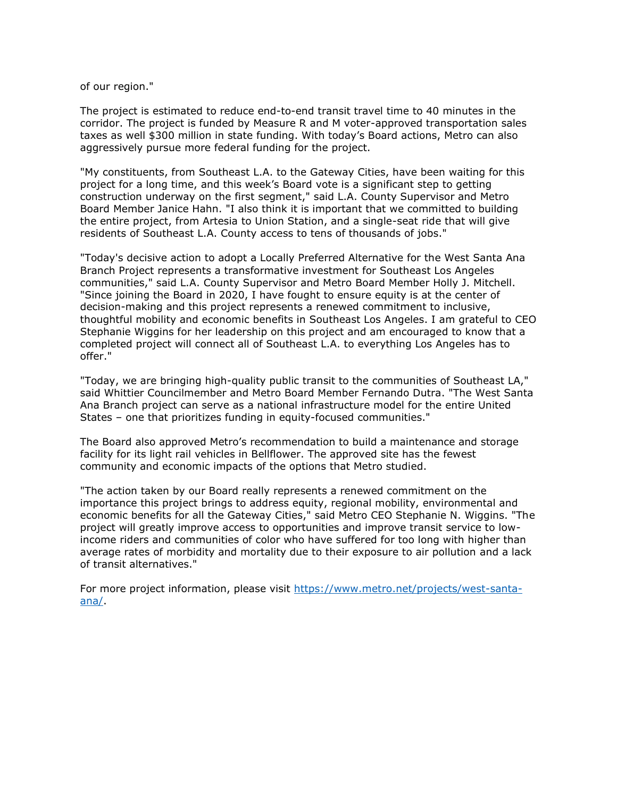of our region."

The project is estimated to reduce end-to-end transit travel time to 40 minutes in the corridor. The project is funded by Measure R and M voter-approved transportation sales taxes as well \$300 million in state funding. With today's Board actions, Metro can also aggressively pursue more federal funding for the project.

"My constituents, from Southeast L.A. to the Gateway Cities, have been waiting for this project for a long time, and this week's Board vote is a significant step to getting construction underway on the first segment," said L.A. County Supervisor and Metro Board Member Janice Hahn. "I also think it is important that we committed to building the entire project, from Artesia to Union Station, and a single-seat ride that will give residents of Southeast L.A. County access to tens of thousands of jobs."

"Today's decisive action to adopt a Locally Preferred Alternative for the West Santa Ana Branch Project represents a transformative investment for Southeast Los Angeles communities," said L.A. County Supervisor and Metro Board Member Holly J. Mitchell. "Since joining the Board in 2020, I have fought to ensure equity is at the center of decision-making and this project represents a renewed commitment to inclusive, thoughtful mobility and economic benefits in Southeast Los Angeles. I am grateful to CEO Stephanie Wiggins for her leadership on this project and am encouraged to know that a completed project will connect all of Southeast L.A. to everything Los Angeles has to offer."

"Today, we are bringing high-quality public transit to the communities of Southeast LA," said Whittier Councilmember and Metro Board Member Fernando Dutra. "The West Santa Ana Branch project can serve as a national infrastructure model for the entire United States – one that prioritizes funding in equity-focused communities."

The Board also approved Metro's recommendation to build a maintenance and storage facility for its light rail vehicles in Bellflower. The approved site has the fewest community and economic impacts of the options that Metro studied.

"The action taken by our Board really represents a renewed commitment on the importance this project brings to address equity, regional mobility, environmental and economic benefits for all the Gateway Cities," said Metro CEO Stephanie N. Wiggins. "The project will greatly improve access to opportunities and improve transit service to lowincome riders and communities of color who have suffered for too long with higher than average rates of morbidity and mortality due to their exposure to air pollution and a lack of transit alternatives."

For more project information, please visit [https://www.metro.net/projects/west-santa](https://www.metro.net/projects/west-santa-ana/)[ana/.](https://www.metro.net/projects/west-santa-ana/)